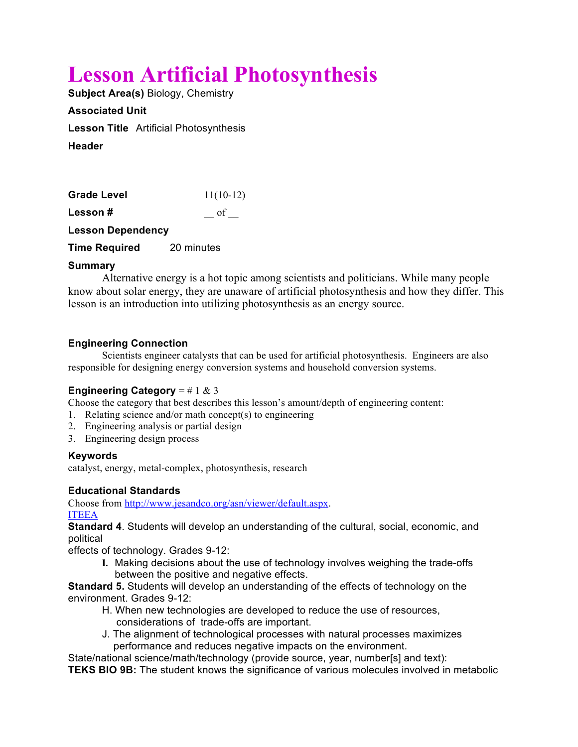# **Lesson Artificial Photosynthesis**

**Subject Area(s)** Biology, Chemistry

**Associated Unit Lesson Title** Artificial Photosynthesis **Header**

| Grade Level              | $11(10-12)$ |
|--------------------------|-------------|
| Lesson#                  | of          |
| <b>Lesson Dependency</b> |             |

**Time Required** 20 minutes

# **Summary**

Alternative energy is a hot topic among scientists and politicians. While many people know about solar energy, they are unaware of artificial photosynthesis and how they differ. This lesson is an introduction into utilizing photosynthesis as an energy source.

# **Engineering Connection**

Scientists engineer catalysts that can be used for artificial photosynthesis. Engineers are also responsible for designing energy conversion systems and household conversion systems.

# **Engineering Category** =  $\# 1 \& 3$

Choose the category that best describes this lesson's amount/depth of engineering content:

- 1. Relating science and/or math concept(s) to engineering
- 2. Engineering analysis or partial design
- 3. Engineering design process

# **Keywords**

catalyst, energy, metal-complex, photosynthesis, research

# **Educational Standards**

Choose from http://www.jesandco.org/asn/viewer/default.aspx. ITEEA

**Standard 4**. Students will develop an understanding of the cultural, social, economic, and political

effects of technology. Grades 9-12:

**I.** Making decisions about the use of technology involves weighing the trade-offs between the positive and negative effects.

**Standard 5.** Students will develop an understanding of the effects of technology on the environment. Grades 9-12:

- H. When new technologies are developed to reduce the use of resources, considerations of trade-offs are important.
- J. The alignment of technological processes with natural processes maximizes performance and reduces negative impacts on the environment.

State/national science/math/technology (provide source, year, number[s] and text): **TEKS BIO 9B:** The student knows the significance of various molecules involved in metabolic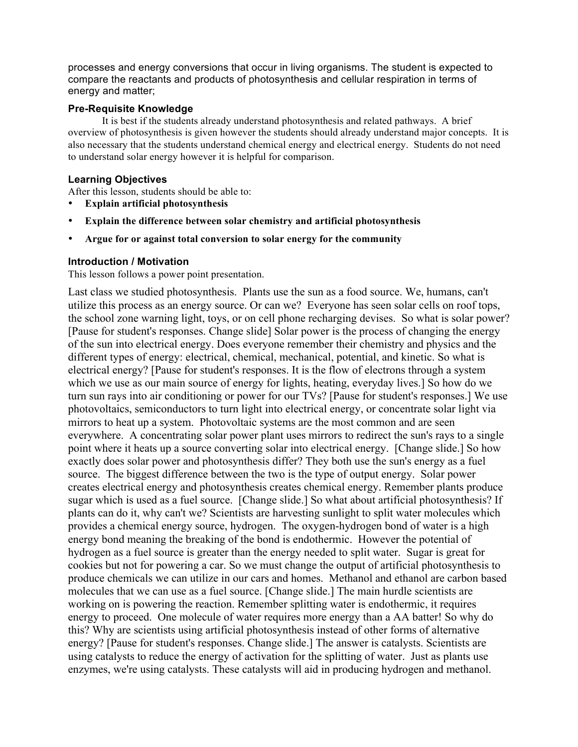processes and energy conversions that occur in living organisms. The student is expected to compare the reactants and products of photosynthesis and cellular respiration in terms of energy and matter;

## **Pre-Requisite Knowledge**

It is best if the students already understand photosynthesis and related pathways. A brief overview of photosynthesis is given however the students should already understand major concepts. It is also necessary that the students understand chemical energy and electrical energy. Students do not need to understand solar energy however it is helpful for comparison.

## **Learning Objectives**

After this lesson, students should be able to:

- **Explain artificial photosynthesis**
- **Explain the difference between solar chemistry and artificial photosynthesis**
- **Argue for or against total conversion to solar energy for the community**

## **Introduction / Motivation**

This lesson follows a power point presentation.

Last class we studied photosynthesis. Plants use the sun as a food source. We, humans, can't utilize this process as an energy source. Or can we? Everyone has seen solar cells on roof tops, the school zone warning light, toys, or on cell phone recharging devises. So what is solar power? [Pause for student's responses. Change slide] Solar power is the process of changing the energy of the sun into electrical energy. Does everyone remember their chemistry and physics and the different types of energy: electrical, chemical, mechanical, potential, and kinetic. So what is electrical energy? [Pause for student's responses. It is the flow of electrons through a system which we use as our main source of energy for lights, heating, everyday lives.] So how do we turn sun rays into air conditioning or power for our TVs? [Pause for student's responses.] We use photovoltaics, semiconductors to turn light into electrical energy, or concentrate solar light via mirrors to heat up a system. Photovoltaic systems are the most common and are seen everywhere. A concentrating solar power plant uses mirrors to redirect the sun's rays to a single point where it heats up a source converting solar into electrical energy. [Change slide.] So how exactly does solar power and photosynthesis differ? They both use the sun's energy as a fuel source. The biggest difference between the two is the type of output energy. Solar power creates electrical energy and photosynthesis creates chemical energy. Remember plants produce sugar which is used as a fuel source. [Change slide.] So what about artificial photosynthesis? If plants can do it, why can't we? Scientists are harvesting sunlight to split water molecules which provides a chemical energy source, hydrogen. The oxygen-hydrogen bond of water is a high energy bond meaning the breaking of the bond is endothermic. However the potential of hydrogen as a fuel source is greater than the energy needed to split water. Sugar is great for cookies but not for powering a car. So we must change the output of artificial photosynthesis to produce chemicals we can utilize in our cars and homes. Methanol and ethanol are carbon based molecules that we can use as a fuel source. [Change slide.] The main hurdle scientists are working on is powering the reaction. Remember splitting water is endothermic, it requires energy to proceed. One molecule of water requires more energy than a AA batter! So why do this? Why are scientists using artificial photosynthesis instead of other forms of alternative energy? [Pause for student's responses. Change slide.] The answer is catalysts. Scientists are using catalysts to reduce the energy of activation for the splitting of water. Just as plants use enzymes, we're using catalysts. These catalysts will aid in producing hydrogen and methanol.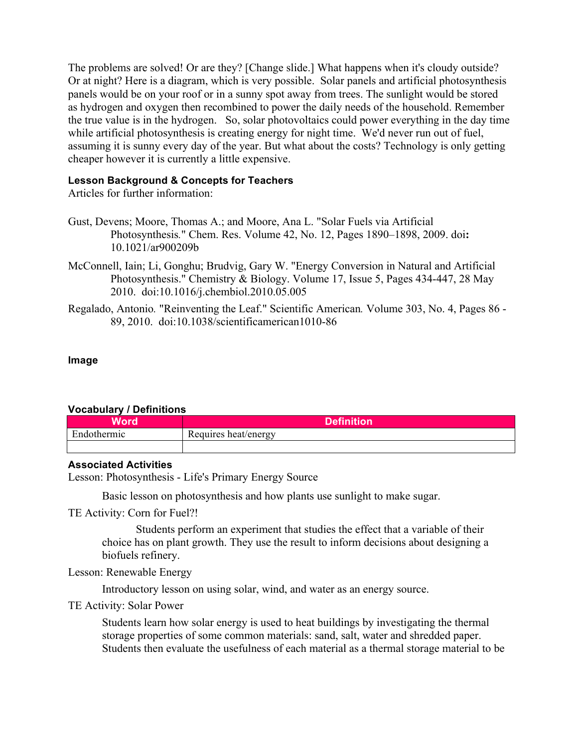The problems are solved! Or are they? [Change slide.] What happens when it's cloudy outside? Or at night? Here is a diagram, which is very possible. Solar panels and artificial photosynthesis panels would be on your roof or in a sunny spot away from trees. The sunlight would be stored as hydrogen and oxygen then recombined to power the daily needs of the household. Remember the true value is in the hydrogen. So, solar photovoltaics could power everything in the day time while artificial photosynthesis is creating energy for night time. We'd never run out of fuel, assuming it is sunny every day of the year. But what about the costs? Technology is only getting cheaper however it is currently a little expensive.

# **Lesson Background & Concepts for Teachers**

Articles for further information:

- Gust, Devens; Moore, Thomas A.; and Moore, Ana L. "Solar Fuels via Artificial Photosynthesis*.*" Chem. Res. Volume 42, No. 12, Pages 1890–1898, 2009. doi**:**  10.1021/ar900209b
- McConnell, Iain; Li, Gonghu; Brudvig, Gary W. "Energy Conversion in Natural and Artificial Photosynthesis." Chemistry & Biology. Volume 17, Issue 5, Pages 434-447, 28 May 2010. doi:10.1016/j.chembiol.2010.05.005
- Regalado, Antonio*.* "Reinventing the Leaf." Scientific American*.* Volume 303, No. 4, Pages 86 89, 2010.doi:10.1038/scientificamerican1010-86

# **Image**

# **Vocabulary / Definitions**

| Word        | Definition <sup>'</sup> |
|-------------|-------------------------|
| Endothermic | Requires heat/energy    |
|             |                         |

# **Associated Activities**

Lesson: Photosynthesis - Life's Primary Energy Source

Basic lesson on photosynthesis and how plants use sunlight to make sugar.

# TE Activity: Corn for Fuel?!

Students perform an experiment that studies the effect that a variable of their choice has on plant growth. They use the result to inform decisions about designing a biofuels refinery.

# Lesson: Renewable Energy

Introductory lesson on using solar, wind, and water as an energy source.

# TE Activity: Solar Power

Students learn how solar energy is used to heat buildings by investigating the thermal storage properties of some common materials: sand, salt, water and shredded paper. Students then evaluate the usefulness of each material as a thermal storage material to be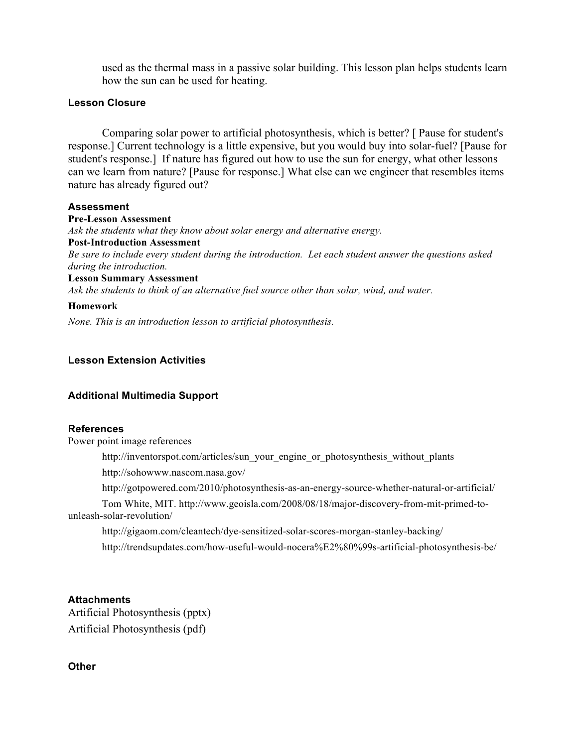used as the thermal mass in a passive solar building. This lesson plan helps students learn how the sun can be used for heating.

#### **Lesson Closure**

Comparing solar power to artificial photosynthesis, which is better? [ Pause for student's response.] Current technology is a little expensive, but you would buy into solar-fuel? [Pause for student's response.] If nature has figured out how to use the sun for energy, what other lessons can we learn from nature? [Pause for response.] What else can we engineer that resembles items nature has already figured out?

#### **Assessment**

**Pre-Lesson Assessment** *Ask the students what they know about solar energy and alternative energy.* **Post-Introduction Assessment**  *Be sure to include every student during the introduction. Let each student answer the questions asked during the introduction.* **Lesson Summary Assessment**  *Ask the students to think of an alternative fuel source other than solar, wind, and water.* 

# **Homework**

*None. This is an introduction lesson to artificial photosynthesis.* 

## **Lesson Extension Activities**

#### **Additional Multimedia Support**

#### **References**

Power point image references

http://inventorspot.com/articles/sun\_your\_engine\_or\_photosynthesis\_without\_plants

http://sohowww.nascom.nasa.gov/

http://gotpowered.com/2010/photosynthesis-as-an-energy-source-whether-natural-or-artificial/

Tom White, MIT. http://www.geoisla.com/2008/08/18/major-discovery-from-mit-primed-tounleash-solar-revolution/

http://gigaom.com/cleantech/dye-sensitized-solar-scores-morgan-stanley-backing/ http://trendsupdates.com/how-useful-would-nocera%E2%80%99s-artificial-photosynthesis-be/

#### **Attachments**

Artificial Photosynthesis (pptx) Artificial Photosynthesis (pdf)

#### **Other**